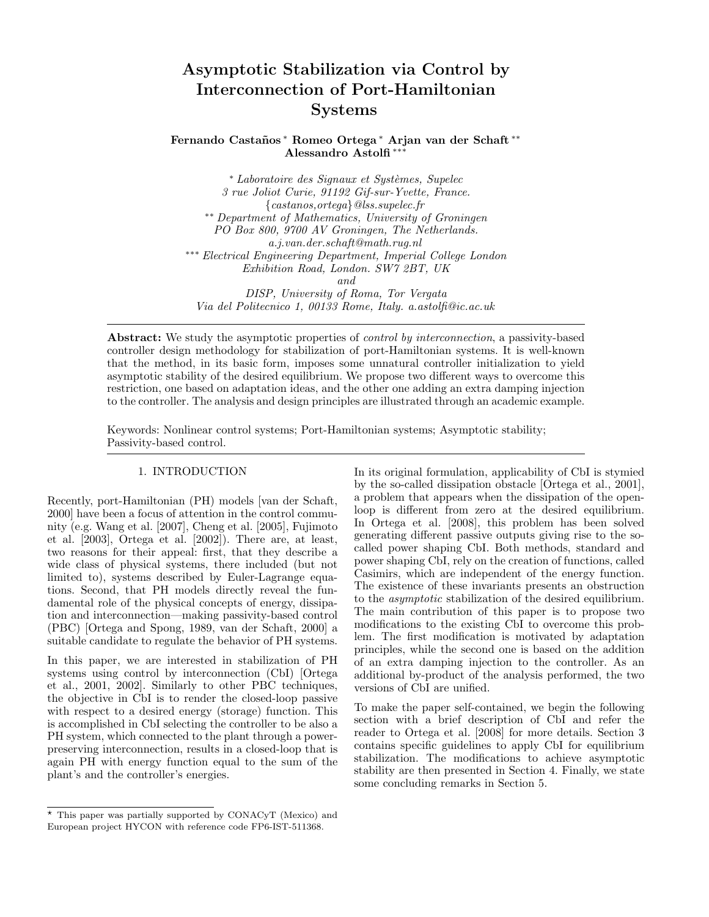# Asymptotic Stabilization via Control by Interconnection of Port-Hamiltonian Systems

# Fernando Castaños\* Romeo Ortega\* Arjan van der Schaft\*\* Alessandro Astolfi ∗∗∗

∗ Laboratoire des Signaux et Systèmes, Supelec 3 rue Joliot Curie, 91192 Gif-sur-Yvette, France. {castanos,ortega}@lss.supelec.fr ∗∗ Department of Mathematics, University of Groningen PO Box 800, 9700 AV Groningen, The Netherlands. a.j.van.der.schaft@math.rug.nl ∗∗∗ Electrical Engineering Department, Imperial College London Exhibition Road, London. SW7 2BT, UK and DISP, University of Roma, Tor Vergata Via del Politecnico 1, 00133 Rome, Italy. a.astolfi@ic.ac.uk

Abstract: We study the asymptotic properties of *control by interconnection*, a passivity-based controller design methodology for stabilization of port-Hamiltonian systems. It is well-known that the method, in its basic form, imposes some unnatural controller initialization to yield asymptotic stability of the desired equilibrium. We propose two different ways to overcome this restriction, one based on adaptation ideas, and the other one adding an extra damping injection to the controller. The analysis and design principles are illustrated through an academic example.

Keywords: Nonlinear control systems; Port-Hamiltonian systems; Asymptotic stability; Passivity-based control.

## 1. INTRODUCTION

Recently, port-Hamiltonian (PH) models [van der Schaft, 2000] have been a focus of attention in the control community (e.g. Wang et al. [2007], Cheng et al. [2005], Fujimoto et al. [2003], Ortega et al. [2002]). There are, at least, two reasons for their appeal: first, that they describe a wide class of physical systems, there included (but not limited to), systems described by Euler-Lagrange equations. Second, that PH models directly reveal the fundamental role of the physical concepts of energy, dissipation and interconnection—making passivity-based control (PBC) [Ortega and Spong, 1989, van der Schaft, 2000] a suitable candidate to regulate the behavior of PH systems.

In this paper, we are interested in stabilization of PH systems using control by interconnection (CbI) [Ortega et al., 2001, 2002]. Similarly to other PBC techniques, the objective in CbI is to render the closed-loop passive with respect to a desired energy (storage) function. This is accomplished in CbI selecting the controller to be also a PH system, which connected to the plant through a powerpreserving interconnection, results in a closed-loop that is again PH with energy function equal to the sum of the plant's and the controller's energies.

In its original formulation, applicability of CbI is stymied by the so-called dissipation obstacle [Ortega et al., 2001], a problem that appears when the dissipation of the openloop is different from zero at the desired equilibrium. In Ortega et al. [2008], this problem has been solved generating different passive outputs giving rise to the socalled power shaping CbI. Both methods, standard and power shaping CbI, rely on the creation of functions, called Casimirs, which are independent of the energy function. The existence of these invariants presents an obstruction to the asymptotic stabilization of the desired equilibrium. The main contribution of this paper is to propose two modifications to the existing CbI to overcome this problem. The first modification is motivated by adaptation principles, while the second one is based on the addition of an extra damping injection to the controller. As an additional by-product of the analysis performed, the two versions of CbI are unified.

To make the paper self-contained, we begin the following section with a brief description of CbI and refer the reader to Ortega et al. [2008] for more details. Section 3 contains specific guidelines to apply CbI for equilibrium stabilization. The modifications to achieve asymptotic stability are then presented in Section 4. Finally, we state some concluding remarks in Section 5.

<sup>⋆</sup> This paper was partially supported by CONACyT (Mexico) and European project HYCON with reference code FP6-IST-511368.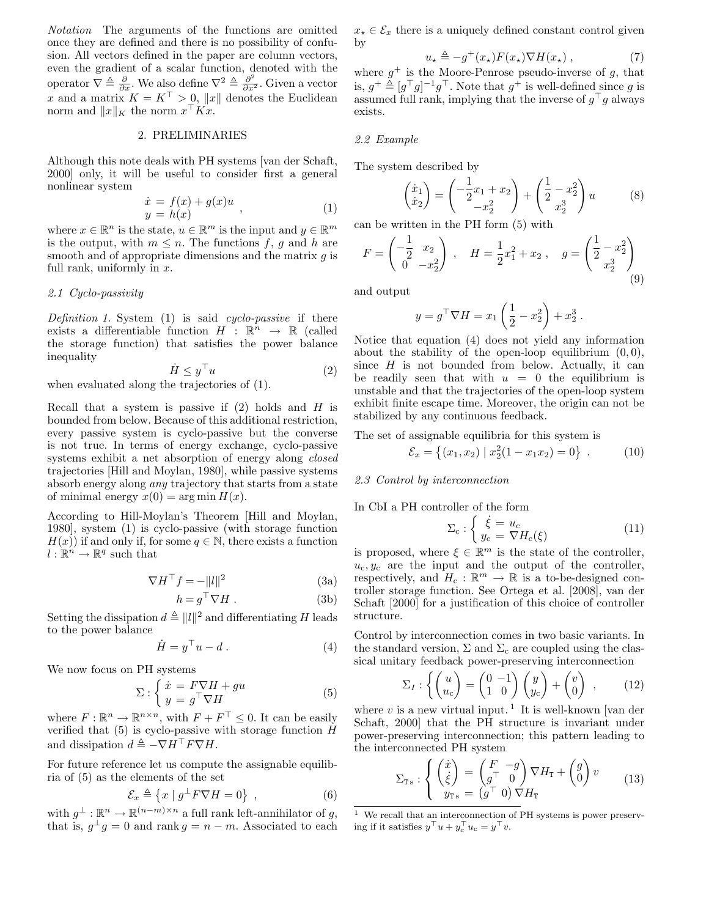Notation The arguments of the functions are omitted once they are defined and there is no possibility of confusion. All vectors defined in the paper are column vectors, even the gradient of a scalar function, denoted with the operator  $\overline{\nabla} \triangleq \frac{\partial}{\partial x}$ . We also define  $\nabla^2 \triangleq \frac{\partial^2}{\partial x^2}$ . Given a vector x and a matrix  $K = K^{\top} > 0$ , ||x|| denotes the Euclidean norm and  $||x||_K$  the norm  $x^\top Kx$ .

# 2. PRELIMINARIES

Although this note deals with PH systems [van der Schaft, 2000] only, it will be useful to consider first a general nonlinear system

$$
\begin{array}{rcl}\n\dot{x} &= f(x) + g(x)u, \\
y &= h(x)\n\end{array} \tag{1}
$$

where  $x \in \mathbb{R}^n$  is the state,  $u \in \mathbb{R}^m$  is the input and  $y \in \mathbb{R}^m$ is the output, with  $m \leq n$ . The functions f, g and h are smooth and of appropriate dimensions and the matrix  $q$  is full rank, uniformly in  $x$ .

#### 2.1 Cyclo-passivity

Definition 1. System  $(1)$  is said cyclo-passive if there exists a differentiable function  $H : \mathbb{R}^n \to \mathbb{R}$  (called the storage function) that satisfies the power balance inequality

$$
\dot{H} \le y^\top u \tag{2}
$$

when evaluated along the trajectories of (1).

Recall that a system is passive if  $(2)$  holds and H is bounded from below. Because of this additional restriction, every passive system is cyclo-passive but the converse is not true. In terms of energy exchange, cyclo-passive systems exhibit a net absorption of energy along *closed* trajectories [Hill and Moylan, 1980], while passive systems absorb energy along any trajectory that starts from a state of minimal energy  $x(0) = \arg \min H(x)$ .

According to Hill-Moylan's Theorem [Hill and Moylan, 1980], system (1) is cyclo-passive (with storage function  $H(x)$  if and only if, for some  $q \in \mathbb{N}$ , there exists a function  $l : \mathbb{R}^n \to \mathbb{R}^q$  such that

$$
\nabla H^{\top} f = -\|l\|^2 \tag{3a}
$$

$$
h = g^{\top} \nabla H. \tag{3b}
$$

Setting the dissipation  $d \triangleq ||l||^2$  and differentiating H leads to the power balance

$$
\dot{H} = y^\top u - d \,. \tag{4}
$$

We now focus on PH systems

$$
\Sigma: \begin{cases} \dot{x} = F\nabla H + gu \\ y = g^\top \nabla H \end{cases} \tag{5}
$$

where  $F: \mathbb{R}^n \to \mathbb{R}^{n \times n}$ , with  $F + F^{\top} \leq 0$ . It can be easily verified that (5) is cyclo-passive with storage function  $H$ and dissipation  $d \triangleq -\nabla H^{\top} F \nabla H$ .

For future reference let us compute the assignable equilibria of (5) as the elements of the set

$$
\mathcal{E}_x \triangleq \left\{ x \mid g^\perp F \nabla H = 0 \right\} , \qquad (6)
$$

with  $g^{\perp} : \mathbb{R}^n \to \mathbb{R}^{(n-m)\times n}$  a full rank left-annihilator of  $g$ , that is,  $g^{\perp}g = 0$  and rank  $g = n - m$ . Associated to each

 $x_{\star} \in \mathcal{E}_x$  there is a uniquely defined constant control given by

$$
u_{\star} \triangleq -g^{+}(x_{\star})F(x_{\star})\nabla H(x_{\star}), \qquad (7)
$$

where  $g^+$  is the Moore-Penrose pseudo-inverse of g, that is,  $g^{\dagger} \triangleq [g^{\top}g]^{-1}g^{\top}$ . Note that  $g^{\dagger}$  is well-defined since g is assumed full rank, implying that the inverse of  $g<sup>T</sup>g$  always exists.

#### 2.2 Example

The system described by

$$
\begin{pmatrix} \dot{x}_1 \\ \dot{x}_2 \end{pmatrix} = \begin{pmatrix} -\frac{1}{2}x_1 + x_2 \\ -x_2^2 \end{pmatrix} + \begin{pmatrix} \frac{1}{2} - x_2^2 \\ x_2^3 \end{pmatrix} u \tag{8}
$$

can be written in the PH form (5) with

$$
F = \begin{pmatrix} -\frac{1}{2} & x_2 \\ 0 & -x_2^2 \end{pmatrix} , \quad H = \frac{1}{2}x_1^2 + x_2 , \quad g = \begin{pmatrix} \frac{1}{2} - x_2^2 \\ x_2^3 \end{pmatrix}
$$
 (9)

and output

$$
y = g^{\top} \nabla H = x_1 \left( \frac{1}{2} - x_2^2 \right) + x_2^3.
$$

Notice that equation (4) does not yield any information about the stability of the open-loop equilibrium  $(0, 0)$ , since  $H$  is not bounded from below. Actually, it can be readily seen that with  $u = 0$  the equilibrium is unstable and that the trajectories of the open-loop system exhibit finite escape time. Moreover, the origin can not be stabilized by any continuous feedback.

The set of assignable equilibria for this system is

$$
\mathcal{E}_x = \{(x_1, x_2) \mid x_2^2(1 - x_1 x_2) = 0\} \ . \tag{10}
$$

## 2.3 Control by interconnection

In CbI a PH controller of the form

$$
\Sigma_{\rm c} : \begin{cases} \dot{\xi} = u_{\rm c} \\ y_{\rm c} = \nabla H_{\rm c}(\xi) \end{cases} \tag{11}
$$

is proposed, where  $\xi \in \mathbb{R}^m$  is the state of the controller,  $u_c, y_c$  are the input and the output of the controller, respectively, and  $H_c : \mathbb{R}^m \to \mathbb{R}$  is a to-be-designed controller storage function. See Ortega et al. [2008], van der Schaft [2000] for a justification of this choice of controller structure.

Control by interconnection comes in two basic variants. In the standard version,  $\Sigma$  and  $\Sigma_c$  are coupled using the classical unitary feedback power-preserving interconnection

$$
\Sigma_I: \left\{ \begin{pmatrix} u \\ u_c \end{pmatrix} = \begin{pmatrix} 0 & -1 \\ 1 & 0 \end{pmatrix} \begin{pmatrix} y \\ y_c \end{pmatrix} + \begin{pmatrix} v \\ 0 \end{pmatrix} \right., \qquad (12)
$$

where  $v$  is a new virtual input.<sup>1</sup> It is well-known [van der Schaft, 2000] that the PH structure is invariant under power-preserving interconnection; this pattern leading to the interconnected PH system

$$
\Sigma_{\text{Ts}} : \begin{cases} \begin{pmatrix} \dot{x} \\ \dot{\xi} \end{pmatrix} = \begin{pmatrix} F & -g \\ g^\top & 0 \end{pmatrix} \nabla H_{\text{T}} + \begin{pmatrix} g \\ 0 \end{pmatrix} v \\ y_{\text{Ts}} = \begin{pmatrix} g^\top & 0 \end{pmatrix} \nabla H_{\text{T}} \end{cases} \tag{13}
$$

 $1$  We recall that an interconnection of PH systems is power preserving if it satisfies  $y^\top u + y_c^\top u_c = y^\top v$ .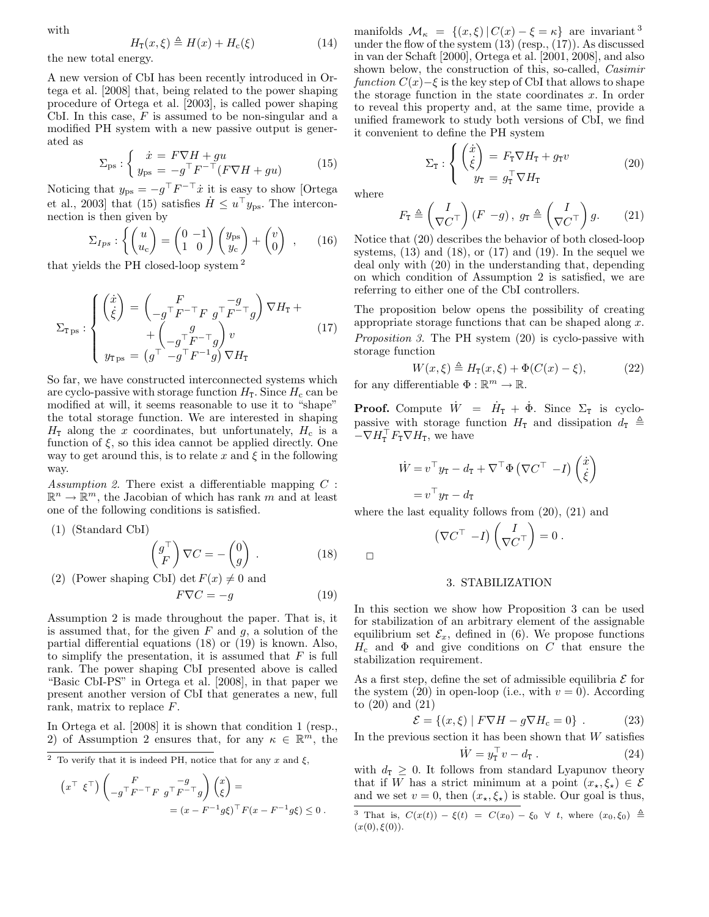with

$$
H_{\mathbf{T}}(x,\xi) \triangleq H(x) + H_{\mathbf{c}}(\xi) \tag{14}
$$

the new total energy.

A new version of CbI has been recently introduced in Ortega et al. [2008] that, being related to the power shaping procedure of Ortega et al. [2003], is called power shaping CbI. In this case,  $F$  is assumed to be non-singular and a modified PH system with a new passive output is generated as

$$
\Sigma_{\rm ps}: \begin{cases} \dot{x} = F \nabla H + gu \\ y_{\rm ps} = -g^{\top} F^{-\top} (F \nabla H + gu) \end{cases} \tag{15}
$$

Noticing that  $y_{\text{ps}} = -g^{\top}F^{-\top}\dot{x}$  it is easy to show [Ortega et al., 2003] that (15) satisfies  $\dot{H} \leq u^{\top} y_{\text{ps}}$ . The interconnection is then given by  $\sqrt{2}$ 

$$
\Sigma_{Ips} : \left\{ \begin{pmatrix} u \\ u_c \end{pmatrix} = \begin{pmatrix} 0 & -1 \\ 1 & 0 \end{pmatrix} \begin{pmatrix} y_{ps} \\ y_c \end{pmatrix} + \begin{pmatrix} v \\ 0 \end{pmatrix} \right\}, \qquad (16)
$$

that yields the PH closed-loop system <sup>2</sup>

$$
\Sigma_{\text{TPs}} : \begin{cases} \begin{pmatrix} \dot{x} \\ \dot{\xi} \end{pmatrix} = \begin{pmatrix} F & -g \\ -g^\top F^{-\top} F & g^\top F^{-\top} g \end{pmatrix} \nabla H_{\text{T}} + \\ &+ \begin{pmatrix} g \\ -g^\top F^{-\top} g \end{pmatrix} v & (17) \\ y_{\text{TPs}} = \begin{pmatrix} g^\top - g^\top F^{-1} g \end{pmatrix} \nabla H_{\text{T}} \end{cases}
$$

So far, we have constructed interconnected systems which are cyclo-passive with storage function  $H<sub>T</sub>$ . Since  $H<sub>c</sub>$  can be modified at will, it seems reasonable to use it to "shape" the total storage function. We are interested in shaping  $H<sub>T</sub>$  along the x coordinates, but unfortunately,  $H<sub>c</sub>$  is a function of  $\xi$ , so this idea cannot be applied directly. One way to get around this, is to relate x and  $\xi$  in the following way.

Assumption 2. There exist a differentiable mapping  $C$ :  $\mathbb{R}^n \to \mathbb{R}^m$ , the Jacobian of which has rank m and at least one of the following conditions is satisfied.

(1) (Standard CbI)

$$
\begin{pmatrix} g^{\top} \\ F \end{pmatrix} \nabla C = - \begin{pmatrix} 0 \\ g \end{pmatrix} . \tag{18}
$$

(2) (Power shaping CbI) det  $F(x) \neq 0$  and

$$
F\nabla C = -g \tag{19}
$$

Assumption 2 is made throughout the paper. That is, it is assumed that, for the given  $F$  and  $g$ , a solution of the partial differential equations (18) or (19) is known. Also, to simplify the presentation, it is assumed that  $F$  is full rank. The power shaping CbI presented above is called "Basic CbI-PS" in Ortega et al. [2008], in that paper we present another version of CbI that generates a new, full rank, matrix to replace F.

In Ortega et al. [2008] it is shown that condition 1 (resp., 2) of Assumption 2 ensures that, for any  $\kappa \in \mathbb{R}^m$ , the

$$
\begin{aligned} \left(x^{\top} \xi^{\top}\right) \begin{pmatrix} F & -g \\ -g^{\top}F^{-\top}F & g^{\top}F^{-\top}g \end{pmatrix} \begin{pmatrix} x \\ \xi \end{pmatrix} &= \\ &= (x - F^{-1}g\xi)^{\top}F(x - F^{-1}g\xi) \leq 0 \,. \end{aligned}
$$

manifolds  $\mathcal{M}_{\kappa} = \{(x,\xi) | C(x) - \xi = \kappa \}$  are invariant <sup>3</sup> under the flow of the system  $(13)$  (resp.,  $(17)$ ). As discussed in van der Schaft [2000], Ortega et al. [2001, 2008], and also shown below, the construction of this, so-called, *Casimir* function  $C(x)$ –ξ is the key step of CbI that allows to shape the storage function in the state coordinates  $x$ . In order to reveal this property and, at the same time, provide a unified framework to study both versions of CbI, we find it convenient to define the PH system

$$
\Sigma_{\mathbf{T}} : \begin{cases} \begin{pmatrix} \dot{x} \\ \dot{\xi} \end{pmatrix} = F_{\mathbf{T}} \nabla H_{\mathbf{T}} + g_{\mathbf{T}} v \\ y_{\mathbf{T}} = g_{\mathbf{T}}^{\top} \nabla H_{\mathbf{T}} \end{cases} \tag{20}
$$

where

$$
F_{\mathbf{T}} \triangleq \left(\frac{I}{\nabla C^{\top}}\right)(F - g), g_{\mathbf{T}} \triangleq \left(\frac{I}{\nabla C^{\top}}\right)g.
$$
 (21)

Notice that (20) describes the behavior of both closed-loop systems,  $(13)$  and  $(18)$ , or  $(17)$  and  $(19)$ . In the sequel we deal only with (20) in the understanding that, depending on which condition of Assumption 2 is satisfied, we are referring to either one of the CbI controllers.

The proposition below opens the possibility of creating appropriate storage functions that can be shaped along  $x$ . Proposition 3. The PH system (20) is cyclo-passive with storage function

$$
W(x,\xi) \triangleq H_{\mathbf{T}}(x,\xi) + \Phi(C(x) - \xi), \tag{22}
$$
  
for any differentiable  $\Phi : \mathbb{R}^m \to \mathbb{R}$ .

**Proof.** Compute  $\dot{W} = \dot{H}_{\text{T}} + \dot{\Phi}$ . Since  $\Sigma_{\text{T}}$  is cyclopassive with storage function  $H_T$  and dissipation  $d_T \triangleq$  $-\nabla H_{\text{T}}^{\top} F_{\text{T}} \nabla H_{\text{T}}$ , we have

$$
\dot{W} = v^{\top} y_{\text{T}} - d_{\text{T}} + \nabla^{\top} \Phi \left( \nabla C^{\top} - I \right) \begin{pmatrix} \dot{x} \\ \dot{\xi} \end{pmatrix}
$$

$$
= v^{\top} y_{\text{T}} - d_{\text{T}}
$$

where the last equality follows from (20), (21) and

$$
\left(\nabla C^{\top} - I\right) \begin{pmatrix} I \\ \nabla C^{\top} \end{pmatrix} = 0.
$$

## $\Box$

#### 3. STABILIZATION

In this section we show how Proposition 3 can be used for stabilization of an arbitrary element of the assignable equilibrium set  $\mathcal{E}_x$ , defined in (6). We propose functions  $H_c$  and  $\Phi$  and give conditions on C that ensure the stabilization requirement.

As a first step, define the set of admissible equilibria  $\mathcal E$  for the system  $(20)$  in open-loop (i.e., with  $v = 0$ ). According to (20) and (21)

$$
\mathcal{E} = \{(x,\xi) | F\nabla H - g\nabla H_c = 0\} .
$$
 (23)

In the previous section it has been shown that  $W$  satisfies

$$
\dot{W} = y_{\mathbf{T}}^{\top} v - d_{\mathbf{T}} . \qquad (24)
$$

with  $d_T \geq 0$ . It follows from standard Lyapunov theory that if W has a strict minimum at a point  $(x_*,\xi_*) \in \mathcal{E}$ and we set  $v = 0$ , then  $(x_\star, \xi_\star)$  is stable. Our goal is thus,

<sup>&</sup>lt;sup>2</sup> To verify that it is indeed PH, notice that for any x and  $\xi$ ,

<sup>&</sup>lt;sup>3</sup> That is,  $C(x(t)) - \xi(t) = C(x_0) - \xi_0 \forall t$ , where  $(x_0, \xi_0) \triangleq$  $(x(0), \xi(0)).$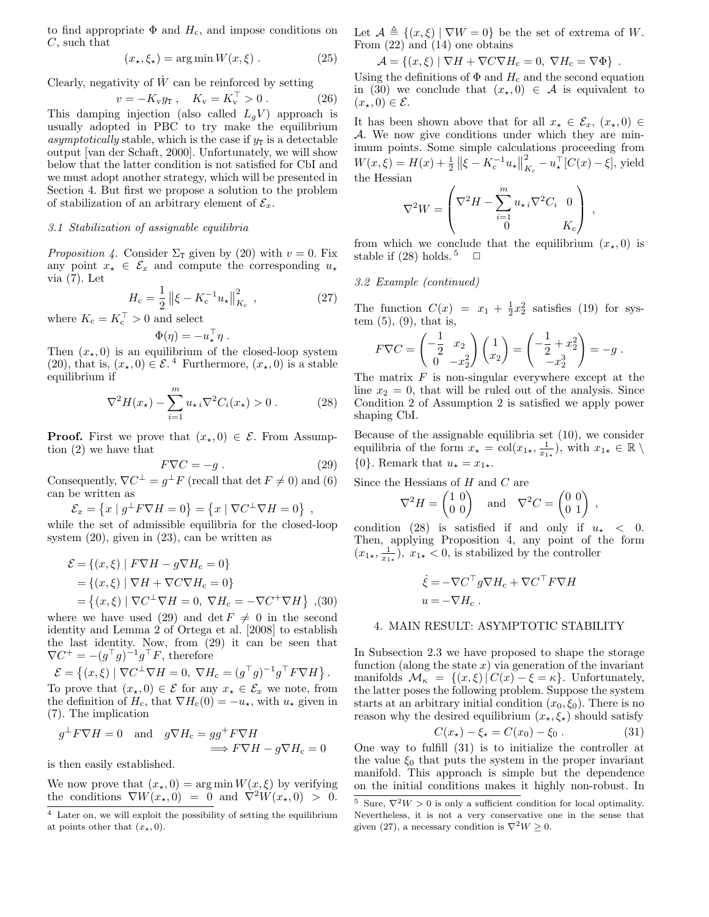to find appropriate  $\Phi$  and  $H_c$ , and impose conditions on C, such that

$$
(x_{\star}, \xi_{\star}) = \arg\min W(x, \xi) . \tag{25}
$$

Clearly, negativity of  $\dot{W}$  can be reinforced by setting

$$
v = -K_{\rm v} y_{\rm T} ,\quad K_{\rm v} = K_{\rm v}^{\rm T} > 0 . \tag{26}
$$

This damping injection (also called  $L_gV$ ) approach is usually adopted in PBC to try make the equilibrium asymptotically stable, which is the case if  $y_T$  is a detectable output [van der Schaft, 2000]. Unfortunately, we will show below that the latter condition is not satisfied for CbI and we must adopt another strategy, which will be presented in Section 4. But first we propose a solution to the problem of stabilization of an arbitrary element of  $\mathcal{E}_x$ .

## 3.1 Stabilization of assignable equilibria

*Proposition 4.* Consider  $\Sigma$ <sub>T</sub> given by (20) with  $v = 0$ . Fix any point  $x_{\star} \in \mathcal{E}_x$  and compute the corresponding  $u_{\star}$ via (7). Let

$$
H_{\rm c} = \frac{1}{2} \left\| \xi - K_{\rm c}^{-1} u_{\star} \right\|_{K_{\rm c}}^2, \qquad (27)
$$

where  $K_c = K_c^{\top} > 0$  and select

$$
\Phi(\eta) = -u_\star^\top \eta \ .
$$

Then  $(x_*, 0)$  is an equilibrium of the closed-loop system (20), that is,  $(x_*,0) \in \mathcal{E}^{4}$  Furthermore,  $(x_*,0)$  is a stable equilibrium if

$$
\nabla^2 H(x_\star) - \sum_{i=1}^m u_{\star i} \nabla^2 C_i(x_\star) > 0.
$$
 (28)

**Proof.** First we prove that  $(x_*,0) \in \mathcal{E}$ . From Assumption (2) we have that

$$
F\nabla C = -g \tag{29}
$$

Consequently,  $\nabla C^{\perp} = g^{\perp} F$  (recall that  $\det F \neq 0$ ) and (6) can be written as

$$
\mathcal{E}_x = \left\{ x \mid g^\perp F \nabla H = 0 \right\} = \left\{ x \mid \nabla C^\perp \nabla H = 0 \right\} ,
$$

while the set of admissible equilibria for the closed-loop system (20), given in (23), can be written as

$$
\mathcal{E} = \{(x,\xi) \mid F\nabla H - g\nabla H_c = 0\}
$$
  
=  $\{(x,\xi) \mid \nabla H + \nabla C\nabla H_c = 0\}$   
=  $\{(x,\xi) \mid \nabla C^{\perp} \nabla H = 0, \nabla H_c = -\nabla C^{\dagger} \nabla H\}$  (30)

where we have used (29) and det  $F \neq 0$  in the second identity and Lemma 2 of Ortega et al. [2008] to establish the last identity. Now, from (29) it can be seen that  $\nabla C^+ = -(g^{\top}g)^{-1}g^{\top}F$ , therefore

 $\mathcal{E} = \left\{ (x, \xi) \mid \nabla C^{\perp} \nabla H = 0, \ \nabla H_{\rm c} = (g^{\top} g)^{-1} g^{\top} F \nabla H \right\}.$ To prove that  $(x_*,0) \in \mathcal{E}$  for any  $x_* \in \mathcal{E}_x$  we note, from the definition of  $H_c$ , that  $\nabla H_c(0) = -u_{\star}$ , with  $u_{\star}$  given in (7). The implication

$$
g^{\perp} F \nabla H = 0
$$
 and  $g \nabla H_c = gg^{\perp} F \nabla H$   
 $\implies F \nabla H - g \nabla H_c = 0$ 

is then easily established.

We now prove that  $(x_*,0) = \arg \min W(x,\xi)$  by verifying the conditions  $\nabla W(x_{\star},0) = 0$  and  $\nabla^2 W(x_{\star},0) > 0$ .

Let  $A \triangleq \{(x,\xi) | \nabla W = 0\}$  be the set of extrema of W. From (22) and (14) one obtains

$$
\mathcal{A} = \{(x,\xi) | \nabla H + \nabla C \nabla H_c = 0, \nabla H_c = \nabla \Phi \}.
$$

Using the definitions of  $\Phi$  and  $H_c$  and the second equation in (30) we conclude that  $(x_*,0) \in \mathcal{A}$  is equivalent to  $(x_\star, 0) \in \mathcal{E}.$ 

It has been shown above that for all  $x_{\star} \in \mathcal{E}_x$ ,  $(x_{\star}, 0) \in$ A. We now give conditions under which they are minimum points. Some simple calculations proceeding from  $W(x,\xi) = H(x) + \frac{1}{2} ||\xi - K_c^{-1}u_{\star}||$ 2  $\sum_{K_c}^2 - u_*^{\top} [C(x) - \xi],$  yield the Hessian

$$
\nabla^2 W = \begin{pmatrix} \nabla^2 H - \sum_{i=1}^m u_{\star i} \nabla^2 C_i & 0 \\ 0 & K_c \end{pmatrix} ,
$$

from which we conclude that the equilibrium  $(x_*, 0)$  is stable if (28) holds.<sup>5</sup>  $\Box$ 

3.2 Example (continued)

The function  $C(x) = x_1 + \frac{1}{2}x_2^2$  satisfies (19) for system  $(5)$ ,  $(9)$ , that is,

$$
F\nabla C = \begin{pmatrix} -\frac{1}{2} & x_2 \\ 0 & -x_2^2 \end{pmatrix} \begin{pmatrix} 1 \\ x_2 \end{pmatrix} = \begin{pmatrix} -\frac{1}{2} + x_2^2 \\ -x_2^3 \end{pmatrix} = -g.
$$

The matrix  $F$  is non-singular everywhere except at the line  $x_2 = 0$ , that will be ruled out of the analysis. Since Condition 2 of Assumption 2 is satisfied we apply power shaping CbI.

Because of the assignable equilibria set (10), we consider equilibria of the form  $x_{\star} = \text{col}(x_{1\star}, \frac{1}{x_{1\star}})$ , with  $x_{1\star} \in \mathbb{R} \setminus \mathbb{R}$  ${0}$ . Remark that  $u_\star = x_{1\star}$ .

Since the Hessians of  $H$  and  $C$  are

$$
\nabla^2 H = \begin{pmatrix} 1 & 0 \\ 0 & 0 \end{pmatrix} \quad \text{and} \quad \nabla^2 C = \begin{pmatrix} 0 & 0 \\ 0 & 1 \end{pmatrix} ,
$$

condition (28) is satisfied if and only if  $u_{\star} < 0$ . Then, applying Proposition 4, any point of the form  $(x_{1\star}, \frac{1}{x_{1\star}}), x_{1\star} < 0$ , is stabilized by the controller

$$
\dot{\xi} = -\nabla C^{\top} g \nabla H_c + \nabla C^{\top} F \nabla H \nu = -\nabla H_c .
$$

#### 4. MAIN RESULT: ASYMPTOTIC STABILITY

In Subsection 2.3 we have proposed to shape the storage function (along the state  $x$ ) via generation of the invariant manifolds  $\mathcal{M}_{\kappa} = \{(x,\xi) | C(x) - \xi = \kappa\}.$  Unfortunately, the latter poses the following problem. Suppose the system starts at an arbitrary initial condition  $(x_0, \xi_0)$ . There is no reason why the desired equilibrium  $(x_{\star}, \xi_{\star})$  should satisfy

$$
C(x_{\star}) - \xi_{\star} = C(x_0) - \xi_0. \tag{31}
$$

One way to fulfill (31) is to initialize the controller at the value  $\xi_0$  that puts the system in the proper invariant manifold. This approach is simple but the dependence on the initial conditions makes it highly non-robust. In

<sup>&</sup>lt;sup>4</sup> Later on, we will exploit the possibility of setting the equilibrium at points other that  $(x_{\star}, 0)$ .

<sup>&</sup>lt;sup>5</sup> Sure,  $\nabla^2 W > 0$  is only a sufficient condition for local optimality. Nevertheless, it is not a very conservative one in the sense that given (27), a necessary condition is  $\nabla^2 W \geq 0$ .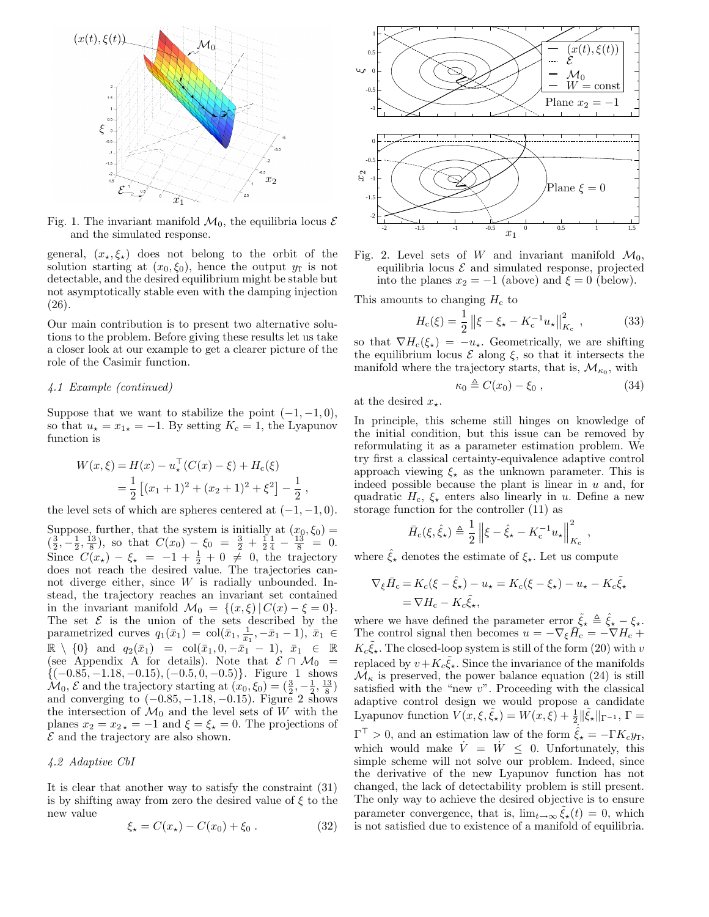

Fig. 1. The invariant manifold  $\mathcal{M}_0$ , the equilibria locus  $\mathcal E$ and the simulated response.

general,  $(x_{\star},\xi_{\star})$  does not belong to the orbit of the solution starting at  $(x_0, \xi_0)$ , hence the output  $y_T$  is not detectable, and the desired equilibrium might be stable but not asymptotically stable even with the damping injection (26).

Our main contribution is to present two alternative solutions to the problem. Before giving these results let us take a closer look at our example to get a clearer picture of the role of the Casimir function.

#### 4.1 Example (continued)

Suppose that we want to stabilize the point  $(-1, -1, 0)$ , so that  $u_\star = x_{1\star} = -1$ . By setting  $K_c = 1$ , the Lyapunov function is

$$
W(x,\xi) = H(x) - u_{\star}^{T}(C(x) - \xi) + H_{c}(\xi)
$$
  
=  $\frac{1}{2} [(x_{1} + 1)^{2} + (x_{2} + 1)^{2} + \xi^{2}] - \frac{1}{2}$ ,

the level sets of which are spheres centered at  $(-1, -1, 0)$ .

Suppose, further, that the system is initially at  $(x_0, \xi_0)$  =  $(\frac{3}{2}, -\frac{1}{2}, \frac{13}{8})$ , so that  $C(x_0) - \xi_0 = \frac{3}{2} + \frac{1}{2} + \frac{1}{4} - \frac{13}{8} = 0$ . Since  $C(x_{\star}) - \xi_{\star} = -1 + \frac{1}{2} + 0 \neq 0$ , the trajectory does not reach the desired value. The trajectories cannot diverge either, since W is radially unbounded. Instead, the trajectory reaches an invariant set contained in the invariant manifold  $\mathcal{M}_0 = \{(x,\xi) | C(x) - \xi = 0\}.$ The set  $\mathcal E$  is the union of the sets described by the parametrized curves  $q_1(\bar{x}_1) = \text{col}(\bar{x}_1, \frac{1}{\bar{x}_1}, -\bar{x}_1 - 1), \bar{x}_1 \in$  $\mathbb{R} \setminus \{0\}$  and  $q_2(\bar{x}_1) = \text{col}(\bar{x}_1, 0, -\bar{x}_1 - 1), \ \bar{x}_1 \in \mathbb{R}$ (see Appendix A for details). Note that  $\mathcal{E} \cap \mathcal{M}_0 =$  $\{(-0.85, -1.18, -0.15), (-0.5, 0, -0.5)\}.$  Figure 1 shows  $\mathcal{M}_0, \mathcal{E}$  and the trajectory starting at  $(x_0, \xi_0) = (\frac{3}{2}, -\frac{1}{2}, \frac{13}{8})$ and converging to  $(-0.85, -1.18, -0.15)$ . Figure 2 shows the intersection of  $\mathcal{M}_0$  and the level sets of W with the planes  $x_2 = x_{2*} = -1$  and  $\xi = \xi_* = 0$ . The projections of  $\mathcal E$  and the trajectory are also shown.

## 4.2 Adaptive CbI

It is clear that another way to satisfy the constraint (31) is by shifting away from zero the desired value of  $\xi$  to the new value

$$
\xi_{\star} = C(x_{\star}) - C(x_0) + \xi_0. \tag{32}
$$



Fig. 2. Level sets of W and invariant manifold  $\mathcal{M}_0$ , equilibria locus  $\mathcal E$  and simulated response, projected into the planes  $x_2 = -1$  (above) and  $\xi = 0$  (below).

This amounts to changing  $H_c$  to

$$
H_{\rm c}(\xi) = \frac{1}{2} \left\| \xi - \xi_{\star} - K_{\rm c}^{-1} u_{\star} \right\|_{K_{\rm c}}^2, \qquad (33)
$$

so that  $\nabla H_c(\xi_{\star}) = -u_{\star}$ . Geometrically, we are shifting the equilibrium locus  $\mathcal E$  along  $\xi$ , so that it intersects the manifold where the trajectory starts, that is,  $\mathcal{M}_{\kappa_0}$ , with

$$
\kappa_0 \triangleq C(x_0) - \xi_0 , \qquad (34)
$$

,

at the desired  $x_{\star}$ .

In principle, this scheme still hinges on knowledge of the initial condition, but this issue can be removed by reformulating it as a parameter estimation problem. We try first a classical certainty-equivalence adaptive control approach viewing  $\xi_{\star}$  as the unknown parameter. This is indeed possible because the plant is linear in  $u$  and, for quadratic  $H_c$ ,  $\xi_{\star}$  enters also linearly in u. Define a new storage function for the controller (11) as

$$
\bar{H}_{\rm c}(\xi, \hat{\xi}_{\star}) \triangleq \frac{1}{2} \| \xi - \hat{\xi}_{\star} - K_{\rm c}^{-1} u_{\star} \|_{K_{\rm c}}^2
$$

where  $\hat{\xi}_{\star}$  denotes the estimate of  $\xi_{\star}$ . Let us compute

$$
\nabla_{\xi}\bar{H}_{c} = K_{c}(\xi - \hat{\xi}_{\star}) - u_{\star} = K_{c}(\xi - \xi_{\star}) - u_{\star} - K_{c}\tilde{\xi}_{\star}
$$

$$
= \nabla H_{c} - K_{c}\tilde{\xi}_{\star},
$$

where we have defined the parameter error  $\tilde{\xi}_* \triangleq \hat{\xi}_* - \xi_*$ . The control signal then becomes  $u = -\nabla_{\xi} \overrightarrow{H}_{c} = -\nabla H_{c} + \nabla H_{c}$  $K_c \tilde{\xi}_\star$ . The closed-loop system is still of the form (20) with v replaced by  $v + K_c \tilde{\xi}_\star$ . Since the invariance of the manifolds  $\mathcal{M}_{\kappa}$  is preserved, the power balance equation (24) is still satisfied with the "new  $v$ ". Proceeding with the classical adaptive control design we would propose a candidate Lyapunov function  $V(x,\xi,\tilde{\xi}_{\star}) = W(x,\xi) + \frac{1}{2} ||\tilde{\xi}_{\star}||_{\Gamma^{-1}}, \Gamma =$  $\Gamma^{\top} > 0$ , and an estimation law of the form  $\dot{\hat{\xi}}_{\star} = -\Gamma K_c y_{\text{T}}$ , which would make  $\dot{V} = \dot{W} < 0$ . Unfortunately, this simple scheme will not solve our problem. Indeed, since the derivative of the new Lyapunov function has not changed, the lack of detectability problem is still present. The only way to achieve the desired objective is to ensure parameter convergence, that is,  $\lim_{t\to\infty} \tilde{\xi}_\star(t) = 0$ , which is not satisfied due to existence of a manifold of equilibria.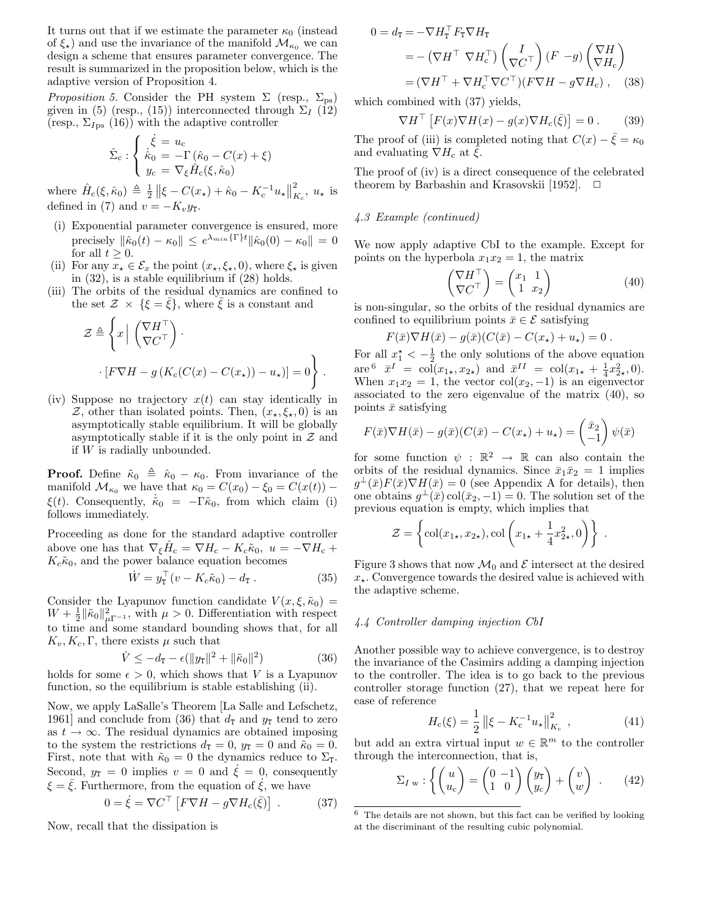It turns out that if we estimate the parameter  $\kappa_0$  (instead of  $\xi_{\star}$ ) and use the invariance of the manifold  $\mathcal{M}_{\kappa_0}$  we can design a scheme that ensures parameter convergence. The result is summarized in the proposition below, which is the adaptive version of Proposition 4.

*Proposition 5.* Consider the PH system  $\Sigma$  (resp.,  $\Sigma_{\text{ps}}$ ) given in (5) (resp., (15)) interconnected through  $\Sigma_I$  (12) (resp.,  $\Sigma_{Ips}$  (16)) with the adaptive controller

$$
\hat{\Sigma}_{\rm c} : \begin{cases}\n\dot{\xi} = u_{\rm c} \\
\dot{k}_0 = -\Gamma(\hat{\kappa}_0 - C(x) + \xi) \\
y_{\rm c} = \nabla_{\xi} \hat{H}_{\rm c}(\xi, \hat{\kappa}_0)\n\end{cases}
$$

where  $\hat{H}_c(\xi, \hat{\kappa}_0) \triangleq \frac{1}{2} ||\xi - C(x_\star) + \hat{\kappa}_0 - K_c^{-1} u_\star||$ 2  $K_c^{\mathstrut}$ ,  $u_{\star}$  is defined in (7) and  $v = -K_v y_T$ .

- (i) Exponential parameter convergence is ensured, more precisely  $\|\hat{\kappa}_0(t) - \kappa_0\| \leq e^{\lambda_{min}\{\Gamma\}t} \|\hat{\kappa}_0(0) - \kappa_0\| = 0$ for all  $t \geq 0$ .
- (ii) For any  $x_{\star} \in \mathcal{E}_x$  the point  $(x_{\star}, \xi_{\star}, 0)$ , where  $\xi_{\star}$  is given in (32), is a stable equilibrium if (28) holds.
- (iii) The orbits of the residual dynamics are confined to the set  $\mathcal{Z} \times \{\xi = \bar{\xi}\}\$ , where  $\bar{\xi}$  is a constant and

$$
\mathcal{Z} \triangleq \left\{ x \mid \begin{pmatrix} \nabla H^{\top} \\ \nabla C^{\top} \end{pmatrix} \right\}.
$$

$$
\cdot [F \nabla H - g (K_c(C(x) - C(x_{\star})) - u_{\star})] = 0 \right\}.
$$

(iv) Suppose no trajectory  $x(t)$  can stay identically in Z, other than isolated points. Then,  $(x_*,\xi_*,0)$  is an asymptotically stable equilibrium. It will be globally asymptotically stable if it is the only point in  $\mathcal Z$  and if W is radially unbounded.

**Proof.** Define  $\tilde{\kappa}_0 \triangleq \tilde{\kappa}_0 - \kappa_0$ . From invariance of the manifold  $\mathcal{M}_{\kappa_0}$  we have that  $\kappa_0 = C(x_0) - \xi_0 = C(x(t))$  –  $\xi(t)$ . Consequently,  $\dot{\tilde{\kappa}}_0 = -\tilde{\Gamma}\tilde{\kappa}_0$ , from which claim (i) follows immediately.

Proceeding as done for the standard adaptive controller above one has that  $\nabla_{\xi}\hat{H}_{c} = \nabla H_{c} - K_{c}\tilde{\kappa}_{0}, u = -\nabla H_{c} +$  $K_c\tilde{\kappa}_0$ , and the power balance equation becomes

$$
\dot{W} = y_{\mathbf{T}}^{\top} (v - K_c \tilde{\kappa}_0) - d_{\mathbf{T}} . \tag{35}
$$

Consider the Lyapunov function candidate  $V(x,\xi,\tilde{\kappa}_0)$  =  $W + \frac{1}{2} ||\tilde{\kappa}_0||^2_{\mu\Gamma^{-1}}$ , with  $\mu > 0$ . Differentiation with respect to time and some standard bounding shows that, for all  $K_v, K_c, \Gamma$ , there exists  $\mu$  such that

$$
\dot{V} \le -d_{\rm T} - \epsilon (\|y_{\rm T}\|^2 + \|\tilde{\kappa}_0\|^2) \tag{36}
$$

holds for some  $\epsilon > 0$ , which shows that V is a Lyapunov function, so the equilibrium is stable establishing (ii).

Now, we apply LaSalle's Theorem [La Salle and Lefschetz, 1961] and conclude from (36) that  $d_{\text{T}}$  and  $y_{\text{T}}$  tend to zero as  $t \to \infty$ . The residual dynamics are obtained imposing to the system the restrictions  $d_{\text{T}} = 0$ ,  $y_{\text{T}} = 0$  and  $\tilde{\kappa}_0 = 0$ . First, note that with  $\tilde{\kappa}_0 = 0$  the dynamics reduce to  $\Sigma_{\text{T}}$ . Second,  $y_T = 0$  implies  $v = 0$  and  $\xi = 0$ , consequently  $\xi = \overline{\xi}$ . Furthermore, from the equation of  $\xi$ , we have

Now, recall that the dissipation is

$$
0 = \dot{\xi} = \nabla C^{\top} \left[ F \nabla H - g \nabla H_c(\bar{\xi}) \right] . \tag{37}
$$

 $0 = d_{\mathtt{T}} = -\nabla H_{\mathtt{T}}^\top F_{\mathtt{T}} \nabla H_{\mathtt{T}}$  $=-\left(\nabla H^\top\nabla H_{\rm c}^\top\right)\left(\frac{I}{\nabla\mathcal{C}}\right)$  $\left(\begin{matrix} I \\ \nabla C\end{matrix}\right)(F - g)\left(\begin{matrix} \nabla H \ \nabla H_0 \end{matrix}\right)$  $\nabla H_{\rm c}$  $\setminus$  $= (\nabla H^{\top} + \nabla H_{\rm c}^{\top} \nabla C^{\top}) (F \nabla H - g \nabla H_{\rm c})$ , (38)

which combined with (37) yields,

$$
\nabla H^{\top} \left[ F(x) \nabla H(x) - g(x) \nabla H_c(\bar{\xi}) \right] = 0. \quad (39)
$$

The proof of (iii) is completed noting that  $C(x) - \bar{\xi} = \kappa_0$ and evaluating  $\nabla H_c$  at  $\bar{\xi}$ .

The proof of (iv) is a direct consequence of the celebrated theorem by Barbashin and Krasovskii [1952].  $\Box$ 

# 4.3 Example (continued)

We now apply adaptive CbI to the example. Except for points on the hyperbola  $x_1x_2 = 1$ , the matrix

$$
\begin{pmatrix} \nabla H^{\top} \\ \nabla C^{\top} \end{pmatrix} = \begin{pmatrix} x_1 & 1 \\ 1 & x_2 \end{pmatrix} \tag{40}
$$

is non-singular, so the orbits of the residual dynamics are confined to equilibrium points  $\bar{x} \in \mathcal{E}$  satisfying

$$
F(\bar{x})\nabla H(\bar{x}) - g(\bar{x})(C(\bar{x}) - C(x_{\star}) + u_{\star}) = 0.
$$

For all  $x_1^* < -\frac{1}{2}$  the only solutions of the above equation  $\arg \theta \quad \bar{x}^I \ = \ col(x_{1\star}, x_{2\star}) \ \text{ and } \ \bar{x}^{II} \ = \ col(x_{1\star} + \frac{1}{4}x_{2\star}^2, 0).$ When  $x_1x_2 = 1$ , the vector col $(x_2, -1)$  is an eigenvector associated to the zero eigenvalue of the matrix (40), so points  $\bar{x}$  satisfying

$$
F(\bar{x})\nabla H(\bar{x}) - g(\bar{x})(C(\bar{x}) - C(x_{\star}) + u_{\star}) = \begin{pmatrix} \bar{x}_2 \\ -1 \end{pmatrix} \psi(\bar{x})
$$

for some function  $\psi : \mathbb{R}^2 \to \mathbb{R}$  can also contain the orbits of the residual dynamics. Since  $\bar{x}_1 \bar{x}_2 = 1$  implies  $g^{\perp}(\bar{x})F(\bar{x})\nabla H(\bar{x})=0$  (see Appendix A for details), then one obtains  $g^{\perp}(\bar{x}) \text{col}(\bar{x}_2, -1) = 0$ . The solution set of the previous equation is empty, which implies that

$$
\mathcal{Z} = \left\{ \text{col}(x_{1\star}, x_{2\star}), \text{col}\left(x_{1\star} + \frac{1}{4}x_{2\star}^2, 0\right) \right\}.
$$

Figure 3 shows that now  $\mathcal{M}_0$  and  $\mathcal E$  intersect at the desired  $x_{\star}$ . Convergence towards the desired value is achieved with the adaptive scheme.

#### 4.4 Controller damping injection CbI

Another possible way to achieve convergence, is to destroy the invariance of the Casimirs adding a damping injection to the controller. The idea is to go back to the previous controller storage function (27), that we repeat here for ease of reference

$$
H_c(\xi) = \frac{1}{2} \left\| \xi - K_c^{-1} u_\star \right\|_{K_c}^2, \qquad (41)
$$

but add an extra virtual input  $w \in \mathbb{R}^m$  to the controller through the interconnection, that is,

$$
\Sigma_{I\,\,w} : \left\{ \begin{pmatrix} u \\ u_c \end{pmatrix} = \begin{pmatrix} 0 & -1 \\ 1 & 0 \end{pmatrix} \begin{pmatrix} y_T \\ y_c \end{pmatrix} + \begin{pmatrix} v \\ w \end{pmatrix} \right. . \tag{42}
$$

 $^6\,$  The details are not shown, but this fact can be verified by looking at the discriminant of the resulting cubic polynomial.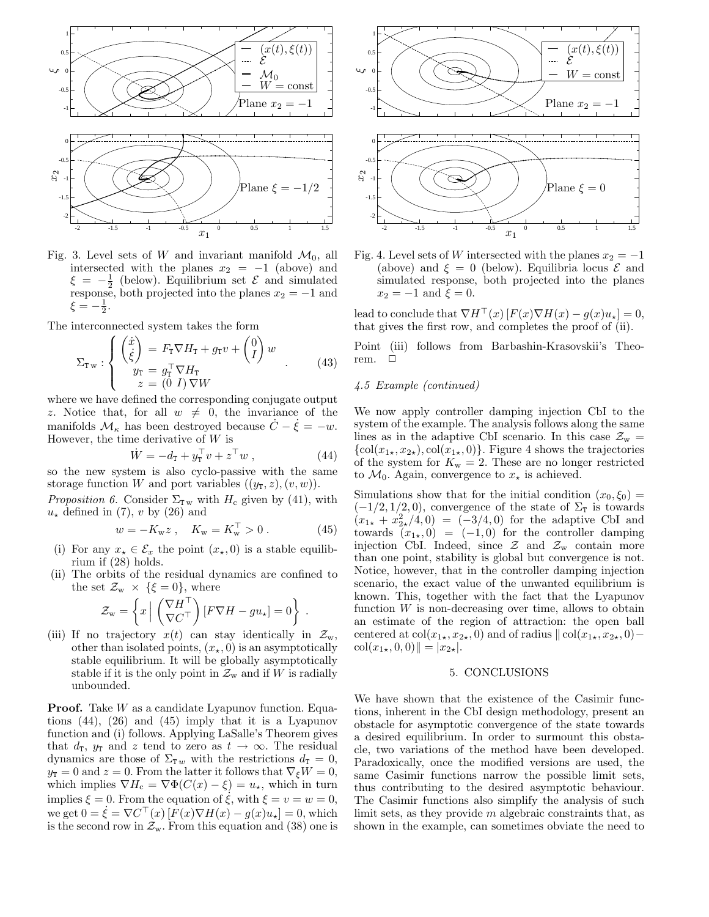

Fig. 3. Level sets of W and invariant manifold  $\mathcal{M}_0$ , all intersected with the planes  $x_2 = -1$  (above) and  $\xi = -\frac{1}{2}$  (below). Equilibrium set  $\mathcal{E}$  and simulated response, both projected into the planes  $x_2 = -1$  and  $\xi = -\frac{1}{2}.$ 

The interconnected system takes the form

$$
\Sigma_{\mathbf{T}w} : \begin{cases} \begin{pmatrix} \dot{x} \\ \dot{\xi} \end{pmatrix} = F_{\mathbf{T}} \nabla H_{\mathbf{T}} + g_{\mathbf{T}} v + \begin{pmatrix} 0 \\ I \end{pmatrix} w \\ y_{\mathbf{T}} = g_{\mathbf{T}}^{\top} \nabla H_{\mathbf{T}} \\ z = \begin{pmatrix} 0 & I \end{pmatrix} \nabla W \end{cases} . \tag{43}
$$

where we have defined the corresponding conjugate output z. Notice that, for all  $w \neq 0$ , the invariance of the manifolds  $\mathcal{M}_{\kappa}$  has been destroyed because  $\dot{C} - \dot{\xi} = -w$ . However, the time derivative of  $W$  is

$$
\dot{W} = -d_{\mathbf{T}} + y_{\mathbf{T}}^{\top} v + z^{\top} w , \qquad (44)
$$

so the new system is also cyclo-passive with the same storage function W and port variables  $((y_T, z), (v, w))$ .

*Proposition 6.* Consider  $\Sigma_{\text{Tw}}$  with  $H_c$  given by (41), with  $u_{\star}$  defined in (7), v by (26) and

$$
w = -K_{w}z \ , \quad K_{w} = K_{w}^{\top} > 0 \ . \tag{45}
$$

- (i) For any  $x_{\star} \in \mathcal{E}_x$  the point  $(x_{\star}, 0)$  is a stable equilibrium if (28) holds.
- (ii) The orbits of the residual dynamics are confined to the set  $\mathcal{Z}_{w} \times \{\xi = 0\}$ , where

$$
\mathcal{Z}_{\mathbf{w}} = \left\{ x \left| \begin{array}{c} \left( \nabla H^{\top} \\ \nabla C^{\top} \end{array} \right) [F \nabla H - g u_{\star}] = 0 \right\} \right. .
$$

(iii) If no trajectory  $x(t)$  can stay identically in  $\mathcal{Z}_{w}$ , other than isolated points,  $(x_\star, 0)$  is an asymptotically stable equilibrium. It will be globally asymptotically stable if it is the only point in  $\mathcal{Z}_{w}$  and if W is radially unbounded.

**Proof.** Take  $W$  as a candidate Lyapunov function. Equations (44), (26) and (45) imply that it is a Lyapunov function and (i) follows. Applying LaSalle's Theorem gives that  $d_{\text{T}}$ ,  $y_{\text{T}}$  and z tend to zero as  $t \to \infty$ . The residual dynamics are those of  $\Sigma_{T w}$  with the restrictions  $d_T = 0$ ,  $y_T = 0$  and  $z = 0$ . From the latter it follows that  $\nabla_{\xi} W = 0$ , which implies  $\nabla H_c = \nabla \Phi(C(x) - \xi) = u_\star$ , which in turn implies  $\xi = 0$ . From the equation of  $\xi$ , with  $\xi = v = w = 0$ , we get  $0 = \dot{\xi} = \nabla C^{\top}(x) [F(x) \nabla H(x) - g(x) u_{\star}] = 0$ , which is the second row in  $\mathcal{Z}_{w}$ . From this equation and (38) one is





Fig. 4. Level sets of W intersected with the planes  $x_2 = -1$ (above) and  $\xi = 0$  (below). Equilibria locus  $\mathcal E$  and simulated response, both projected into the planes  $x_2 = -1$  and  $\xi = 0$ .

lead to conclude that  $\nabla H^{\top}(x)[F(x)\nabla H(x) - q(x)u_{\star}] = 0$ , that gives the first row, and completes the proof of (ii).

Point (iii) follows from Barbashin-Krasovskii's Theorem.  $\square$ 

## 4.5 Example (continued)

We now apply controller damping injection CbI to the system of the example. The analysis follows along the same lines as in the adaptive CbI scenario. In this case  $\mathcal{Z}_{w} =$  $\{\text{col}(x_{1\star},x_{2\star}),\text{col}(x_{1\star},0)\}.$  Figure 4 shows the trajectories of the system for  $K_w = 2$ . These are no longer restricted to  $\mathcal{M}_0$ . Again, convergence to  $x_{\star}$  is achieved.

Simulations show that for the initial condition  $(x_0,\xi_0)$  =  $(-1/2, 1/2, 0)$ , convergence of the state of  $\Sigma_{\text{t}}$  is towards  $(x_{1\star} + x_{2\star}^2/4, 0) = (-3/4, 0)$  for the adaptive CbI and towards  $(x_{1\star}, 0) = (-1, 0)$  for the controller damping injection CbI. Indeed, since  $\mathcal{Z}$  and  $\mathcal{Z}_{w}$  contain more than one point, stability is global but convergence is not. Notice, however, that in the controller damping injection scenario, the exact value of the unwanted equilibrium is known. This, together with the fact that the Lyapunov function  $W$  is non-decreasing over time, allows to obtain an estimate of the region of attraction: the open ball centered at col( $x_{1\star},x_{2\star},0$ ) and of radius  $\Vert \text{col}(x_{1\star},x_{2\star},0) \operatorname{col}(x_{1\star}, 0, 0)$  $\| = |x_{2\star}|$ .

#### 5. CONCLUSIONS

We have shown that the existence of the Casimir functions, inherent in the CbI design methodology, present an obstacle for asymptotic convergence of the state towards a desired equilibrium. In order to surmount this obstacle, two variations of the method have been developed. Paradoxically, once the modified versions are used, the same Casimir functions narrow the possible limit sets, thus contributing to the desired asymptotic behaviour. The Casimir functions also simplify the analysis of such limit sets, as they provide m algebraic constraints that, as shown in the example, can sometimes obviate the need to